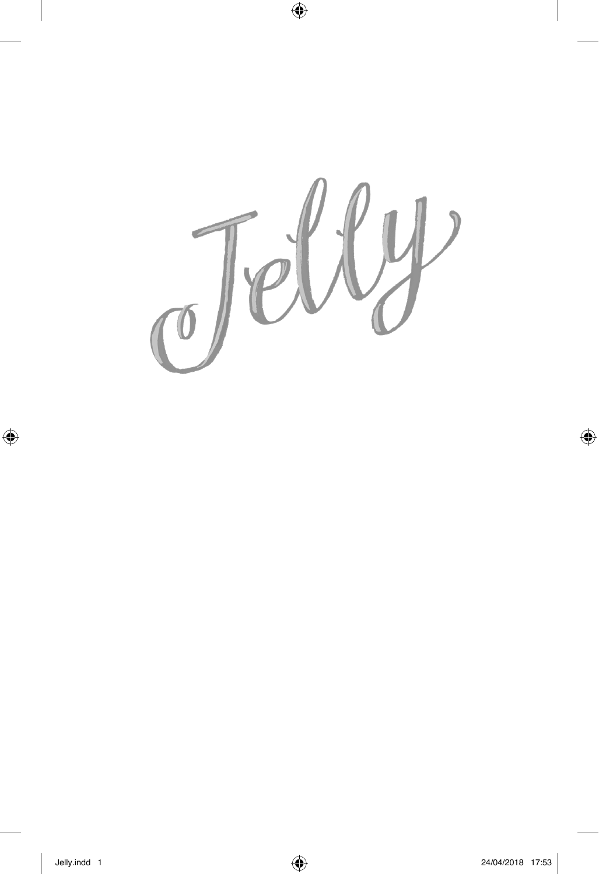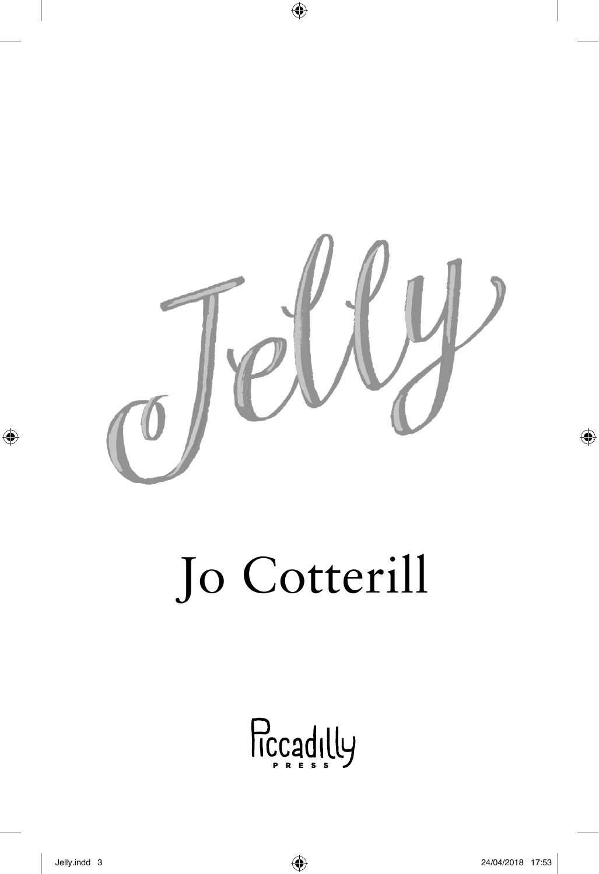

## Jo Cotterill

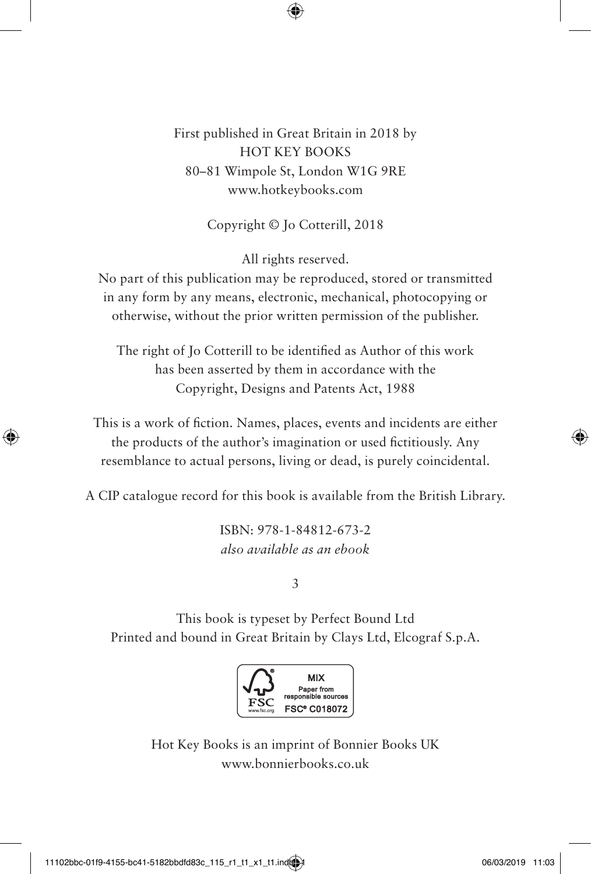First published in Great Britain in 2018 by HOT KEY BOOKS 80–81 Wimpole St, London W1G 9RE www.hotkeybooks.com

Copyright © Jo Cotterill, 2018

All rights reserved.

No part of this publication may be reproduced, stored or transmitted in any form by any means, electronic, mechanical, photocopying or otherwise, without the prior written permission of the publisher.

The right of Jo Cotterill to be identified as Author of this work has been asserted by them in accordance with the Copyright, Designs and Patents Act, 1988

This is a work of fiction. Names, places, events and incidents are either the products of the author's imagination or used fictitiously. Any resemblance to actual persons, living or dead, is purely coincidental.

A CIP catalogue record for this book is available from the British Library.

ISBN: 978-1-84812-673-2 *also available as an ebook*

3

This book is typeset by Perfect Bound Ltd Printed and bound in Great Britain by Clays Ltd, Elcograf S.p.A.



Hot Key Books is an imprint of Bonnier Books UK www.bonnierbooks.co.uk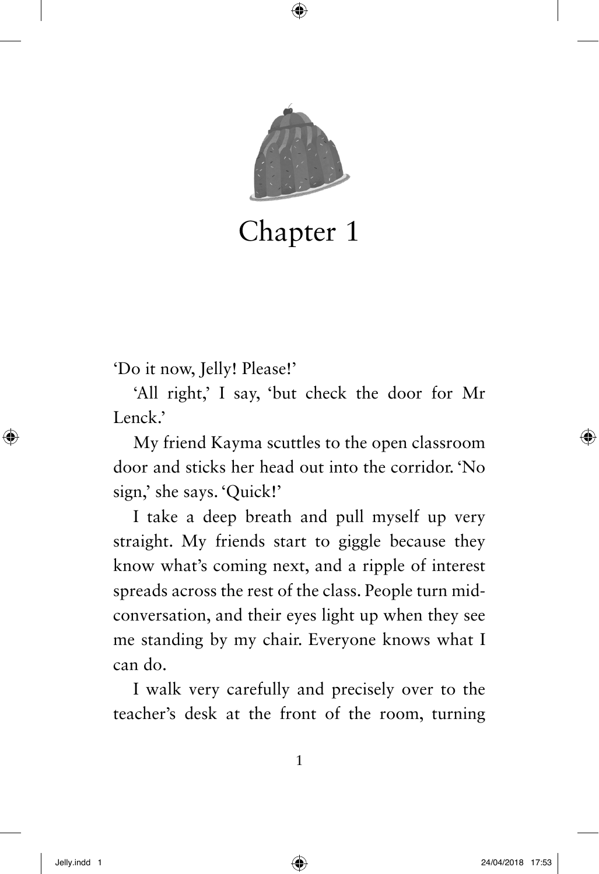

Chapter 1

'Do it now, Jelly! Please!'

'All right,' I say, 'but check the door for Mr Lenck.'

My friend Kayma scuttles to the open classroom door and sticks her head out into the corridor. 'No sign,' she says. 'Quick!'

I take a deep breath and pull myself up very straight. My friends start to giggle because they know what's coming next, and a ripple of interest spreads across the rest of the class. People turn midconversation, and their eyes light up when they see me standing by my chair. Everyone knows what I can do.

I walk very carefully and precisely over to the teacher's desk at the front of the room, turning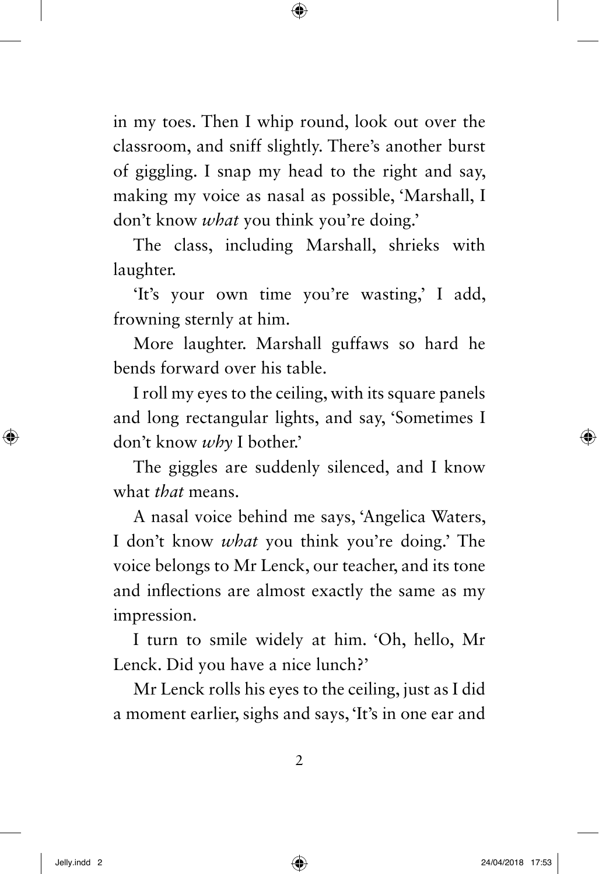in my toes. Then I whip round, look out over the classroom, and sniff slightly. There's another burst of giggling. I snap my head to the right and say, making my voice as nasal as possible, 'Marshall, I don't know *what* you think you're doing.'

The class, including Marshall, shrieks with laughter.

'It's your own time you're wasting,' I add, frowning sternly at him.

More laughter. Marshall guffaws so hard he bends forward over his table.

I roll my eyes to the ceiling, with its square panels and long rectangular lights, and say, 'Sometimes I don't know *why* I bother.'

The giggles are suddenly silenced, and I know what *that* means.

A nasal voice behind me says, 'Angelica Waters, I don't know *what* you think you're doing.' The voice belongs to Mr Lenck, our teacher, and its tone and inflections are almost exactly the same as my impression.

I turn to smile widely at him. 'Oh, hello, Mr Lenck. Did you have a nice lunch?'

Mr Lenck rolls his eyes to the ceiling, just as I did a moment earlier, sighs and says, 'It's in one ear and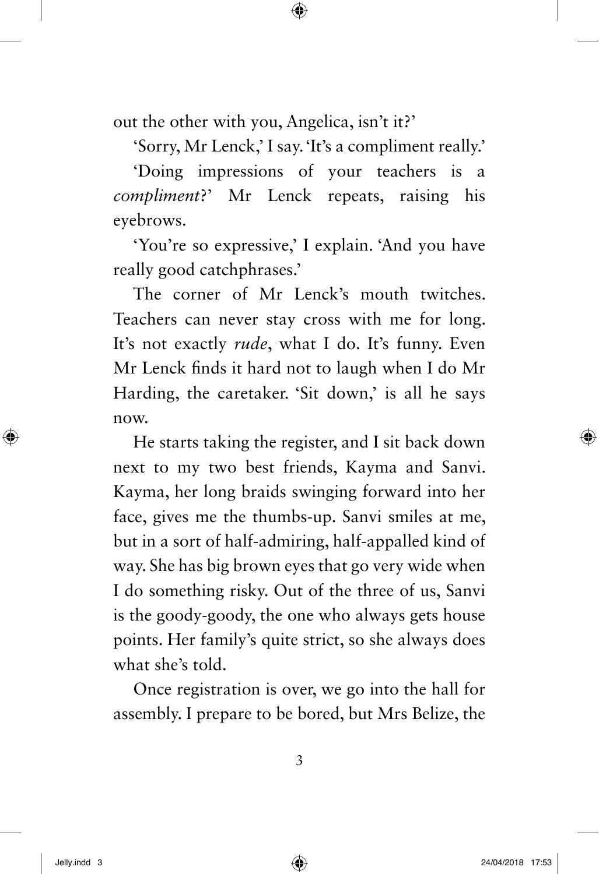out the other with you, Angelica, isn't it?'

'Sorry, Mr Lenck,' I say. 'It's a compliment really.'

'Doing impressions of your teachers is a *compliment*?' Mr Lenck repeats, raising his eyebrows.

'You're so expressive,' I explain. 'And you have really good catchphrases.'

The corner of Mr Lenck's mouth twitches. Teachers can never stay cross with me for long. It's not exactly *rude*, what I do. It's funny. Even Mr Lenck finds it hard not to laugh when I do Mr Harding, the caretaker. 'Sit down,' is all he says now.

He starts taking the register, and I sit back down next to my two best friends, Kayma and Sanvi. Kayma, her long braids swinging forward into her face, gives me the thumbs-up. Sanvi smiles at me, but in a sort of half-admiring, half-appalled kind of way. She has big brown eyes that go very wide when I do something risky. Out of the three of us, Sanvi is the goody-goody, the one who always gets house points. Her family's quite strict, so she always does what she's told.

Once registration is over, we go into the hall for assembly. I prepare to be bored, but Mrs Belize, the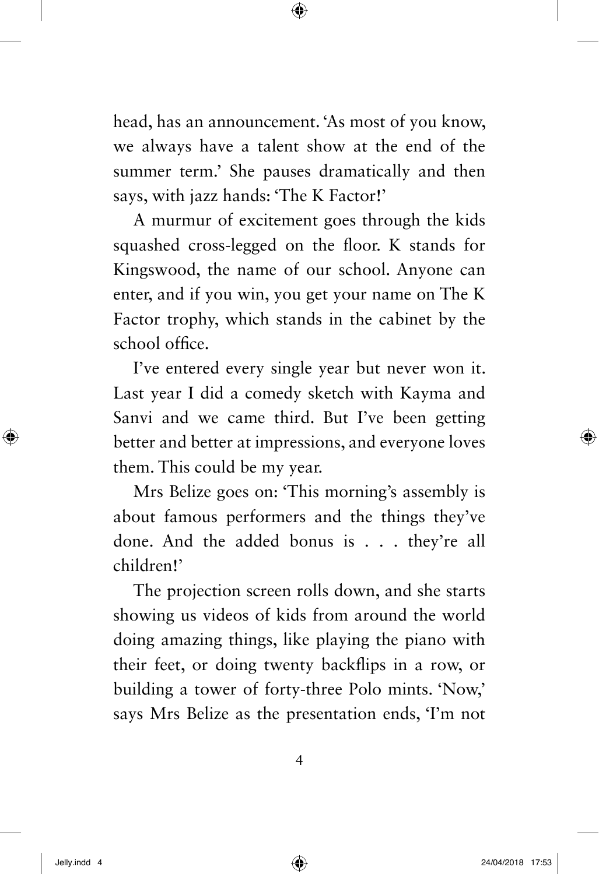head, has an announcement. 'As most of you know, we always have a talent show at the end of the summer term.' She pauses dramatically and then says, with jazz hands: 'The K Factor!'

A murmur of excitement goes through the kids squashed cross-legged on the floor. K stands for Kingswood, the name of our school. Anyone can enter, and if you win, you get your name on The K Factor trophy, which stands in the cabinet by the school office.

I've entered every single year but never won it. Last year I did a comedy sketch with Kayma and Sanvi and we came third. But I've been getting better and better at impressions, and everyone loves them. This could be my year.

Mrs Belize goes on: 'This morning's assembly is about famous performers and the things they've done. And the added bonus is . . . they're all children!'

The projection screen rolls down, and she starts showing us videos of kids from around the world doing amazing things, like playing the piano with their feet, or doing twenty backflips in a row, or building a tower of forty-three Polo mints. 'Now,' says Mrs Belize as the presentation ends, 'I'm not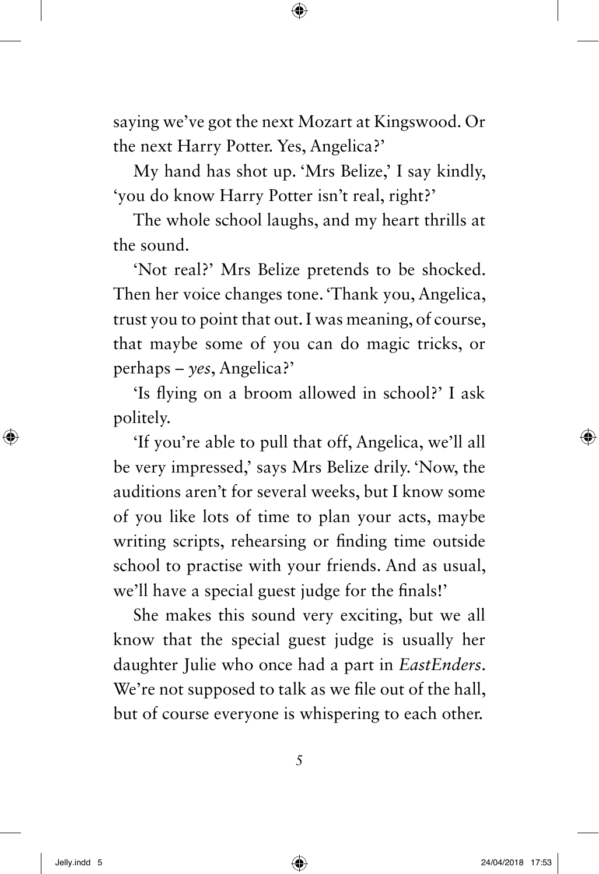saying we've got the next Mozart at Kingswood. Or the next Harry Potter. Yes, Angelica?'

My hand has shot up. 'Mrs Belize,' I say kindly, 'you do know Harry Potter isn't real, right?'

The whole school laughs, and my heart thrills at the sound.

'Not real?' Mrs Belize pretends to be shocked. Then her voice changes tone. 'Thank you, Angelica, trust you to point that out. I was meaning, of course, that maybe some of you can do magic tricks, or perhaps – *yes*, Angelica?'

'Is flying on a broom allowed in school?' I ask politely.

'If you're able to pull that off, Angelica, we'll all be very impressed,' says Mrs Belize drily. 'Now, the auditions aren't for several weeks, but I know some of you like lots of time to plan your acts, maybe writing scripts, rehearsing or finding time outside school to practise with your friends. And as usual, we'll have a special guest judge for the finals!'

She makes this sound very exciting, but we all know that the special guest judge is usually her daughter Julie who once had a part in *EastEnders*. We're not supposed to talk as we file out of the hall, but of course everyone is whispering to each other.